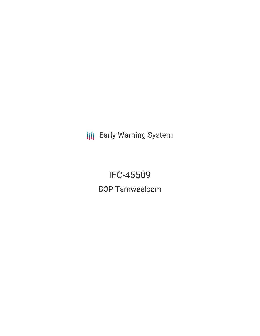**III** Early Warning System

IFC-45509 BOP Tamweelcom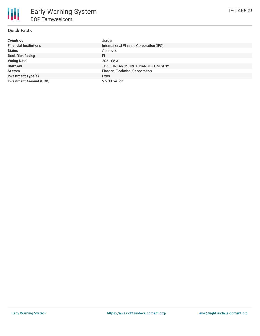# **Quick Facts**

| <b>Countries</b>               | Jordan                                  |
|--------------------------------|-----------------------------------------|
| <b>Financial Institutions</b>  | International Finance Corporation (IFC) |
| <b>Status</b>                  | Approved                                |
| <b>Bank Risk Rating</b>        | FI                                      |
| <b>Voting Date</b>             | 2021-08-31                              |
| <b>Borrower</b>                | THE JORDAN MICRO FINANCE COMPANY        |
| <b>Sectors</b>                 | Finance, Technical Cooperation          |
| <b>Investment Type(s)</b>      | Loan                                    |
| <b>Investment Amount (USD)</b> | $$5.00$ million                         |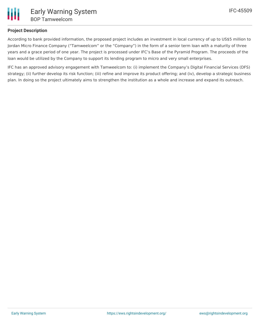

## **Project Description**

According to bank provided information, the proposed project includes an investment in local currency of up to US\$5 million to Jordan Micro Finance Company ("Tamweelcom" or the "Company") in the form of a senior term loan with a maturity of three years and a grace period of one year. The project is processed under IFC's Base of the Pyramid Program. The proceeds of the loan would be utilized by the Company to support its lending program to micro and very small enterprises.

IFC has an approved advisory engagement with Tamweelcom to: (i) implement the Company's Digital Financial Services (DFS) strategy; (ii) further develop its risk function; (iii) refine and improve its product offering; and (iv), develop a strategic business plan. In doing so the project ultimately aims to strengthen the institution as a whole and increase and expand its outreach.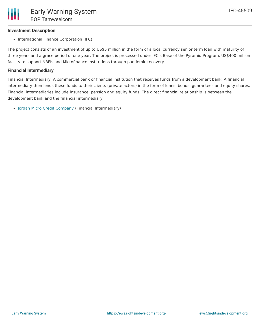## **Investment Description**

• International Finance Corporation (IFC)

The project consists of an investment of up to US\$5 million in the form of a local currency senior term loan with maturity of three years and a grace period of one year. The project is processed under IFC's Base of the Pyramid Program, US\$400 million facility to support NBFIs and Microfinance Institutions through pandemic recovery.

### **Financial Intermediary**

Financial Intermediary: A commercial bank or financial institution that receives funds from a development bank. A financial intermediary then lends these funds to their clients (private actors) in the form of loans, bonds, guarantees and equity shares. Financial intermediaries include insurance, pension and equity funds. The direct financial relationship is between the development bank and the financial intermediary.

• Jordan Micro Credit [Company](file:///actor/306/) (Financial Intermediary)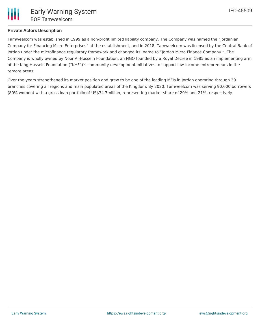Tamweelcom was established in 1999 as a non-profit limited liability company. The Company was named the "Jordanian Company for Financing Micro Enterprises" at the establishment, and in 2018, Tamweelcom was licensed by the Central Bank of Jordan under the microfinance regulatory framework and changed its name to "Jordan Micro Finance Company ". The Company is wholly owned by Noor Al-Hussein Foundation, an NGO founded by a Royal Decree in 1985 as an implementing arm of the King Hussein Foundation ("KHF")'s community development initiatives to support low-income entrepreneurs in the remote areas.

Over the years strengthened its market position and grew to be one of the leading MFIs in Jordan operating through 39 branches covering all regions and main populated areas of the Kingdom. By 2020, Tamweelcom was serving 90,000 borrowers (80% women) with a gross loan portfolio of US\$74.7million, representing market share of 20% and 21%, respectively.